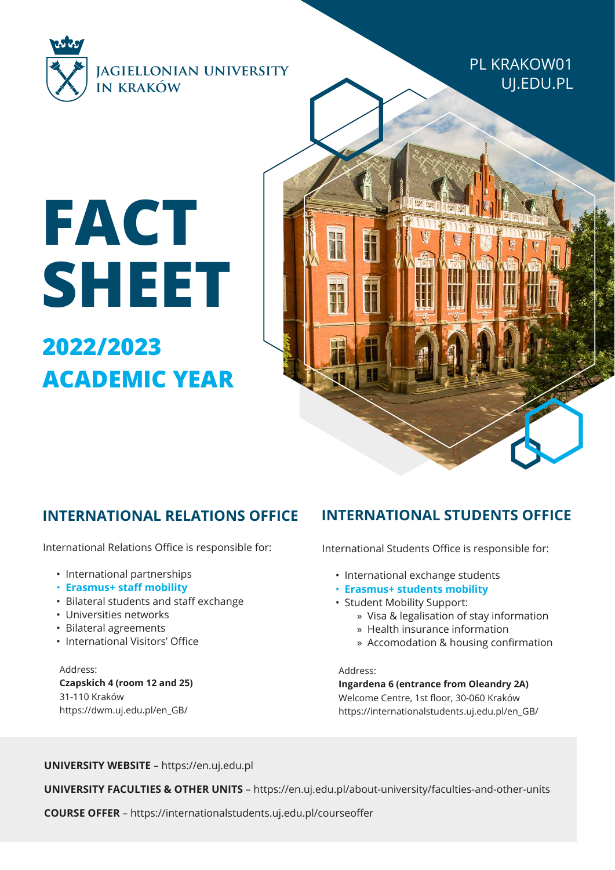

PL KRAKOW01 UJ.EDU.PL

# **2022/2023 FACT SHEET**

**ACADEMIC YEAR** 

## **INTERNATIONAL RELATIONS OFFICE INTERNATIONAL STUDENTS OFFICE**

International Relations Office is responsible for:

- International partnerships
- **Erasmus+ staff mobility**
- Bilateral students and staff exchange
- Universities networks
- Bilateral agreements
- International Visitors' Office

Address: **Czapskich 4 (room 12 and 25)** 31-110 Kraków https://dwm.uj.edu.pl/en\_GB/

International Students Office is responsible for:

- International exchange students
- **Erasmus+ students mobility**
- Student Mobility Support:
	- » Visa & legalisation of stay information
	- » Health insurance information
	- » Accomodation & housing confirmation

#### Address:

TO

II.

**Ingardena 6 (entrance from Oleandry 2A)** Welcome Centre, 1st floor, 30-060 Kraków https://internationalstudents.uj.edu.pl/en\_GB/

**UNIVERSITY WEBSITE** – https://en.uj.edu.pl

**UNIVERSITY FACULTIES & OTHER UNITS** – https://en.uj.edu.pl/about-university/faculties-and-other-units

**COURSE OFFER** – https://internationalstudents.uj.edu.pl/courseoffer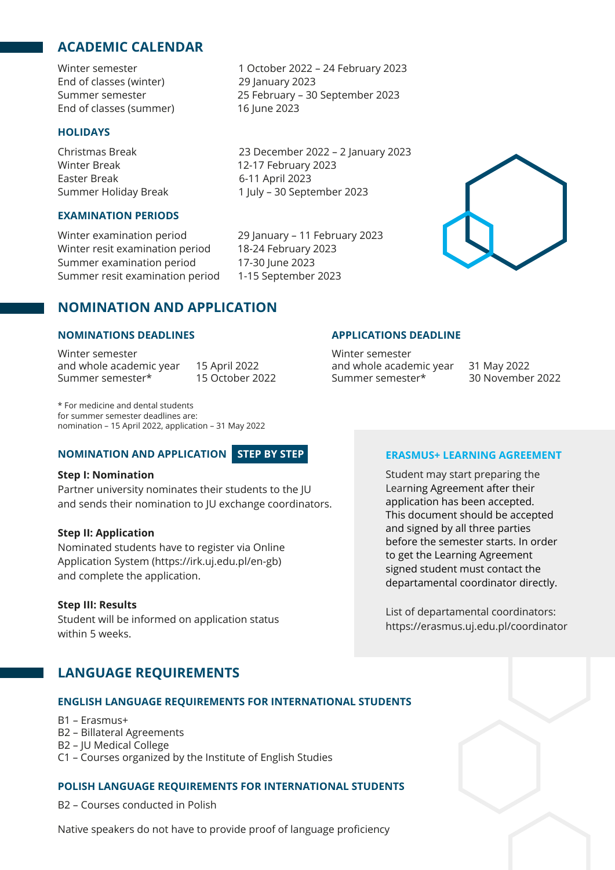### **ACADEMIC CALENDAR**

Winter semester 1 October 2022 – 24 February 2023 End of classes (winter) 29 January 2023 Summer semester 25 February – 30 September 2023 End of classes (summer) 16 June 2023

#### **HOLIDAYS**

Winter Break 12-17 February 2023 Easter Break 6-11 April 2023

#### **EXAMINATION PERIODS**

Winter examination period 29 January – 11 February 2023 Winter resit examination period 18-24 February 2023 Summer examination period 17-30 June 2023 Summer resit examination period 1-15 September 2023

Christmas Break 23 December 2022 – 2 January 2023 Summer Holiday Break 1 July – 30 September 2023

#### **NOMINATION AND APPLICATION**

#### **NOMINATIONS DEADLINES**

Winter semester and whole academic year 15 April 2022<br>Summer semester\* 15 October 2022 Summer semester\*

\* For medicine and dental students for summer semester deadlines are: nomination – 15 April 2022, application – 31 May 2022

#### **NOMINATION AND APPLICATION STEP BY STEP**

#### **Step I: Nomination**

Partner university nominates their students to the JU and sends their nomination to JU exchange coordinators.

#### **Step II: Application**

Nominated students have to register via Online Application System (https://irk.uj.edu.pl/en-gb) and complete the application.

#### **Step III: Results**

Student will be informed on application status within 5 weeks.

and whole academic year 31 May 2022<br>Summer semester\* 30 November 2022

**APPLICATIONS DEADLINE**

Winter semester

Summer semester\*

#### **ERASMUS+ LEARNING AGREEMENT**

Student may start preparing the Learning Agreement after their application has been accepted. This document should be accepted and signed by all three parties before the semester starts. In order to get the Learning Agreement signed student must contact the departamental coordinator directly.

List of departamental coordinators: https://erasmus.uj.edu.pl/coordinator

#### **LANGUAGE REQUIREMENTS**

#### **ENGLISH LANGUAGE REQUIREMENTS FOR INTERNATIONAL STUDENTS**

- B1 Erasmus+
- B2 Billateral Agreements
- B2 JU Medical College
- C1 Courses organized by the Institute of English Studies

#### **POLISH LANGUAGE REQUIREMENTS FOR INTERNATIONAL STUDENTS**

B2 – Courses conducted in Polish

Native speakers do not have to provide proof of language proficiency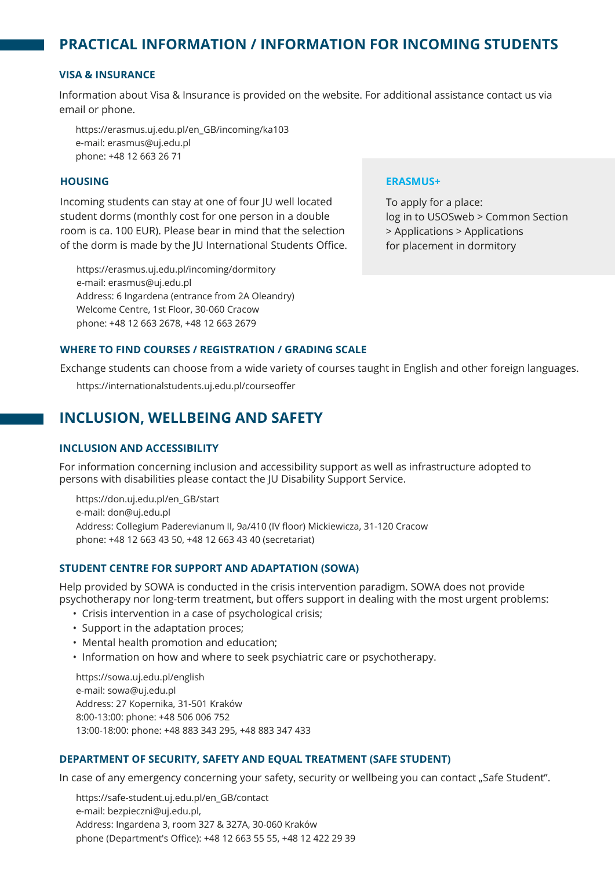## **PRACTICAL INFORMATION / INFORMATION FOR INCOMING STUDENTS**

#### **VISA & INSURANCE**

Information about Visa & Insurance is provided on the website. For additional assistance contact us via email or phone.

https://erasmus.uj.edu.pl/en\_GB/incoming/ka103 e-mail: erasmus@uj.edu.pl phone: +48 12 663 26 71

#### **HOUSING**

Incoming students can stay at one of four JU well located student dorms (monthly cost for one person in a double room is ca. 100 EUR). Please bear in mind that the selection of the dorm is made by the JU International Students Office.

https://erasmus.uj.edu.pl/incoming/dormitory e-mail: erasmus@uj.edu.pl Address: 6 Ingardena (entrance from 2A Oleandry) Welcome Centre, 1st Floor, 30-060 Cracow phone: +48 12 663 2678, +48 12 663 2679

#### **ERASMUS+**

To apply for a place: log in to USOSweb > Common Section > Applications > Applications for placement in dormitory

#### **WHERE TO FIND COURSES / REGISTRATION / GRADING SCALE**

Exchange students can choose from a wide variety of courses taught in English and other foreign languages.

https://internationalstudents.uj.edu.pl/courseoffer

#### **INCLUSION, WELLBEING AND SAFETY**

#### **INCLUSION AND ACCESSIBILITY**

For information concerning inclusion and accessibility support as well as infrastructure adopted to persons with disabilities please contact the JU Disability Support Service.

https://don.uj.edu.pl/en\_GB/start e-mail: don@uj.edu.pl Address: Collegium Paderevianum II, 9a/410 (IV floor) Mickiewicza, 31-120 Cracow phone: +48 12 663 43 50, +48 12 663 43 40 (secretariat)

#### **STUDENT CENTRE FOR SUPPORT AND ADAPTATION (SOWA)**

Help provided by SOWA is conducted in the crisis intervention paradigm. SOWA does not provide psychotherapy nor long-term treatment, but offers support in dealing with the most urgent problems:

- Crisis intervention in a case of psychological crisis;
- Support in the adaptation proces;
- Mental health promotion and education;
- Information on how and where to seek psychiatric care or psychotherapy.

https://sowa.uj.edu.pl/english e-mail: sowa@uj.edu.pl Address: 27 Kopernika, 31-501 Kraków 8:00-13:00: phone: +48 506 006 752 13:00-18:00: phone: +48 883 343 295, +48 883 347 433

#### **DEPARTMENT OF SECURITY, SAFETY AND EQUAL TREATMENT (SAFE STUDENT)**

In case of any emergency concerning your safety, security or wellbeing you can contact "Safe Student".

https://safe-student.uj.edu.pl/en\_GB/contact e-mail: bezpieczni@uj.edu.pl, Address: Ingardena 3, room 327 & 327A, 30-060 Kraków phone (Department's Office): +48 12 663 55 55, +48 12 422 29 39